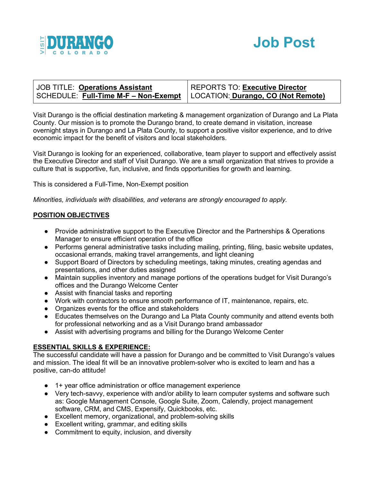



| JOB TITLE: Operations Assistant                                           | <b>REPORTS TO: Executive Director</b> |
|---------------------------------------------------------------------------|---------------------------------------|
| SCHEDULE: Full-Time M-F – Non-Exempt   LOCATION: Durango, CO (Not Remote) |                                       |

Visit Durango is the official destination marketing & management organization of Durango and La Plata County. Our mission is to promote the Durango brand, to create demand in visitation, increase overnight stays in Durango and La Plata County, to support a positive visitor experience, and to drive economic impact for the benefit of visitors and local stakeholders.

Visit Durango is looking for an experienced, collaborative, team player to support and effectively assist the Executive Director and staff of Visit Durango. We are a small organization that strives to provide a culture that is supportive, fun, inclusive, and finds opportunities for growth and learning.

This is considered a Full-Time, Non-Exempt position

*Minorities, individuals with disabilities, and veterans are strongly encouraged to apply.*

## **POSITION OBJECTIVES**

- Provide administrative support to the Executive Director and the Partnerships & Operations Manager to ensure efficient operation of the office
- Performs general administrative tasks including mailing, printing, filing, basic website updates, occasional errands, making travel arrangements, and light cleaning
- Support Board of Directors by scheduling meetings, taking minutes, creating agendas and presentations, and other duties assigned
- Maintain supplies inventory and manage portions of the operations budget for Visit Durango's offices and the Durango Welcome Center
- Assist with financial tasks and reporting
- Work with contractors to ensure smooth performance of IT, maintenance, repairs, etc.
- Organizes events for the office and stakeholders
- Educates themselves on the Durango and La Plata County community and attend events both for professional networking and as a Visit Durango brand ambassador
- Assist with advertising programs and billing for the Durango Welcome Center

## **ESSENTIAL SKILLS & EXPERIENCE:**

The successful candidate will have a passion for Durango and be committed to Visit Durango's values and mission. The ideal fit will be an innovative problem-solver who is excited to learn and has a positive, can-do attitude!

- 1+ year office administration or office management experience
- Very tech-savvy, experience with and/or ability to learn computer systems and software such as: Google Management Console, Google Suite, Zoom, Calendly, project management software, CRM, and CMS, Expensify, Quickbooks, etc.
- Excellent memory, organizational, and problem-solving skills
- Excellent writing, grammar, and editing skills
- Commitment to equity, inclusion, and diversity